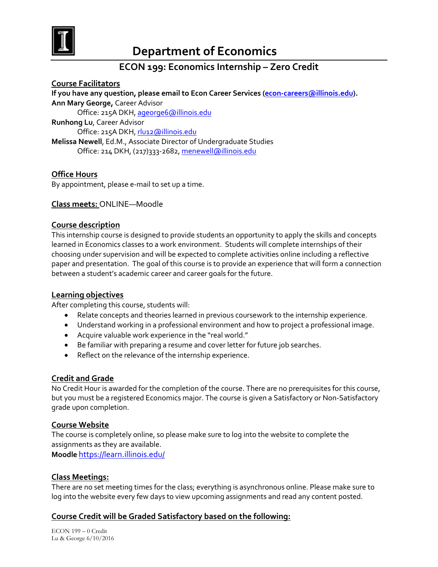

# **Department of Economics**

## **ECON 199: Economics Internship – Zero Credit**

**Course Facilitators If you have any question, please email to Econ Career Services [\(econ-careers@illinois.edu\)](mailto:econ-careers@illinois.edu). Ann Mary George,** Career Advisor Office: 215A DKH[, ageorge6@illinois.edu](mailto:ageorge6@illinois.edu) **Runhong Lu**, Career Advisor Office: 215A DKH[, rlu12@illinois.edu](mailto:rlu12@illinois.edu) **Melissa Newell**, Ed.M., Associate Director of Undergraduate Studies Office: 214 DKH, (217)333-2682, [menewell@illinois.edu](mailto:menewell@illinois.edu)

## **Office Hours**

By appointment, please e-mail to set up a time.

#### **Class meets:** ONLINE—Moodle

#### **Course description**

This internship course is designed to provide students an opportunity to apply the skills and concepts learned in Economics classes to a work environment. Students will complete internships of their choosing under supervision and will be expected to complete activities online including a reflective paper and presentation. The goal of this course is to provide an experience that will form a connection between a student's academic career and career goals for the future.

#### **Learning objectives**

After completing this course, students will:

- Relate concepts and theories learned in previous coursework to the internship experience.
- Understand working in a professional environment and how to project a professional image.
- Acquire valuable work experience in the "real world."
- Be familiar with preparing a resume and cover letter for future job searches.
- Reflect on the relevance of the internship experience.

#### **Credit and Grade**

No Credit Hour is awarded for the completion of the course. There are no prerequisites for this course, but you must be a registered Economics major. The course is given a Satisfactory or Non-Satisfactory grade upon completion.

#### **Course Website**

The course is completely online, so please make sure to log into the website to complete the assignments as they are available.

**Moodle** <https://learn.illinois.edu/>

#### **Class Meetings:**

There are no set meeting times for the class; everything is asynchronous online. Please make sure to log into the website every few days to view upcoming assignments and read any content posted.

## **Course Credit will be Graded Satisfactory based on the following:**

ECON 199 – 0 Credit Lu & George 6/10/2016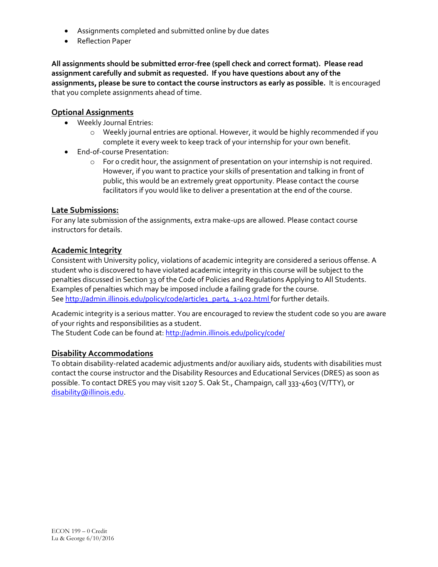- Assignments completed and submitted online by due dates
- Reflection Paper

**All assignments should be submitted error-free (spell check and correct format). Please read assignment carefully and submit as requested. If you have questions about any of the assignments, please be sure to contact the course instructors as early as possible.** It is encouraged that you complete assignments ahead of time.

## **Optional Assignments**

- Weekly Journal Entries:
	- o Weekly journal entries are optional. However, it would be highly recommended if you complete it every week to keep track of your internship for your own benefit.
- End-of-course Presentation:
	- o For 0 credit hour, the assignment of presentation on your internship is not required. However, if you want to practice your skills of presentation and talking in front of public, this would be an extremely great opportunity. Please contact the course facilitators if you would like to deliver a presentation at the end of the course.

## **Late Submissions:**

For any late submission of the assignments, extra make-ups are allowed. Please contact course instructors for details.

## **Academic Integrity**

Consistent with University policy, violations of academic integrity are considered a serious offense. A student who is discovered to have violated academic integrity in this course will be subject to the penalties discussed in Section 33 of the Code of Policies and Regulations Applying to All Students. Examples of penalties which may be imposed include a failing grade for the course. Se[e http://admin.illinois.edu/policy/code/article1\\_part4\\_1-402.html](http://admin.illinois.edu/policy/code/article1_part4_1-402.html) for further details.

Academic integrity is a serious matter. You are encouraged to review the student code so you are aware of your rights and responsibilities as a student.

The Student Code can be found at[: http://admin.illinois.edu/policy/code/](http://admin.illinois.edu/policy/code/)

## **Disability Accommodations**

To obtain disability-related academic adjustments and/or auxiliary aids, students with disabilities must contact the course instructor and the Disability Resources and Educational Services (DRES) as soon as possible. To contact DRES you may visit 1207 S. Oak St., Champaign, call 333-4603 (V/TTY), or [disability@illinois.edu.](mailto:disability@illinois.edu)